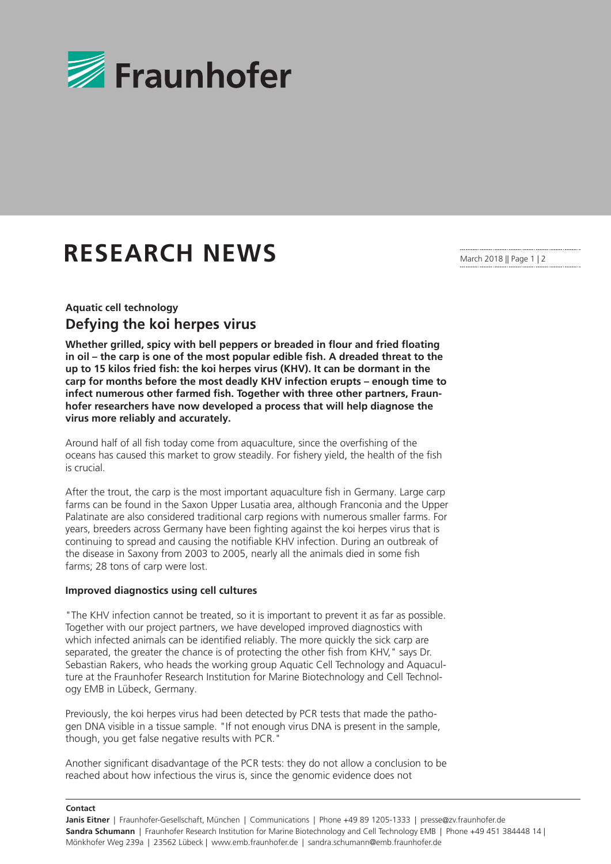

## **RESEARCH NEWS**

March 2018 || Page 1 | 2

## **Aquatic cell technology Defying the koi herpes virus**

**Whether grilled, spicy with bell peppers or breaded in flour and fried floating in oil – the carp is one of the most popular edible fish. A dreaded threat to the up to 15 kilos fried fish: the koi herpes virus (KHV). It can be dormant in the carp for months before the most deadly KHV infection erupts – enough time to infect numerous other farmed fish. Together with three other partners, Fraunhofer researchers have now developed a process that will help diagnose the virus more reliably and accurately.**

Around half of all fish today come from aquaculture, since the overfishing of the oceans has caused this market to grow steadily. For fishery yield, the health of the fish is crucial.

After the trout, the carp is the most important aquaculture fish in Germany. Large carp farms can be found in the Saxon Upper Lusatia area, although Franconia and the Upper Palatinate are also considered traditional carp regions with numerous smaller farms. For years, breeders across Germany have been fighting against the koi herpes virus that is continuing to spread and causing the notifiable KHV infection. During an outbreak of the disease in Saxony from 2003 to 2005, nearly all the animals died in some fish farms; 28 tons of carp were lost.

## **Improved diagnostics using cell cultures**

"The KHV infection cannot be treated, so it is important to prevent it as far as possible. Together with our project partners, we have developed improved diagnostics with which infected animals can be identified reliably. The more quickly the sick carp are separated, the greater the chance is of protecting the other fish from KHV," says Dr. Sebastian Rakers, who heads the working group Aquatic Cell Technology and Aquaculture at the Fraunhofer Research Institution for Marine Biotechnology and Cell Technology EMB in Lübeck, Germany.

Previously, the koi herpes virus had been detected by PCR tests that made the pathogen DNA visible in a tissue sample. "If not enough virus DNA is present in the sample, though, you get false negative results with PCR."

Another significant disadvantage of the PCR tests: they do not allow a conclusion to be reached about how infectious the virus is, since the genomic evidence does not

**Contact**